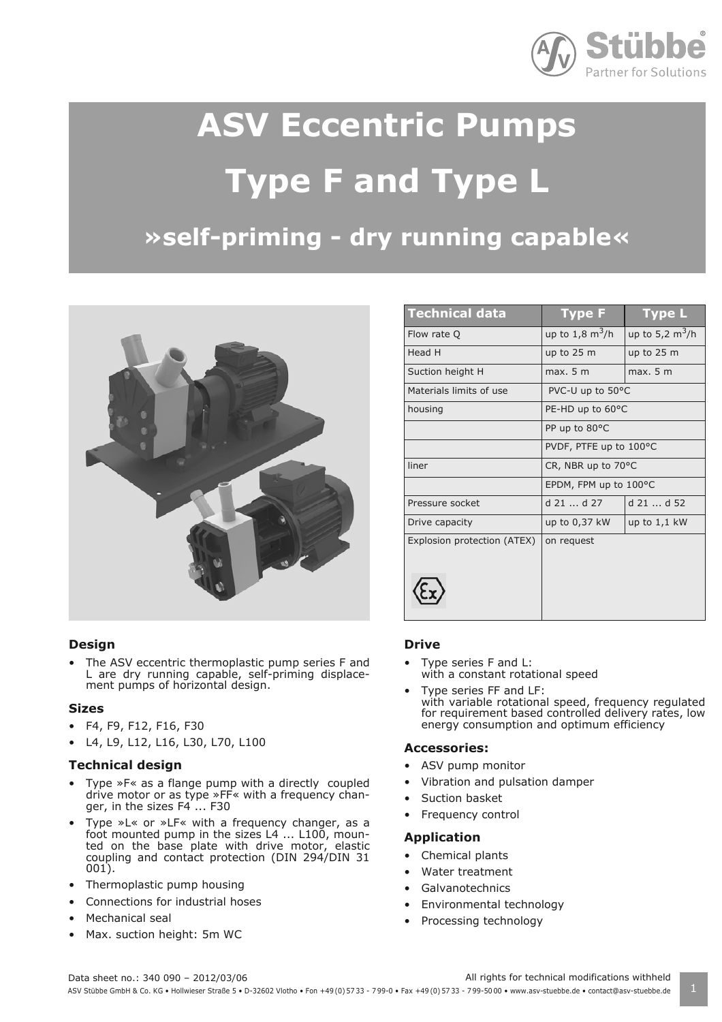

# **ASV Eccentric Pumps Type F and Type L**

# **»self-priming - dry running capable«**



#### **Design**

• The ASV eccentric thermoplastic pump series F and L are dry running capable, self-priming displacement pumps of horizontal design.

#### **Sizes**

- F4, F9, F12, F16, F30
- L4, L9, L12, L16, L30, L70, L100

#### **Technical design**

- Type »F« as a flange pump with a directly coupled drive motor or as type »FF« with a frequency changer, in the sizes  $F4$  ... F30
- Type »L« or »LF« with a frequency changer, as a foot mounted pump in the sizes L4 ... L100, mounted on the base plate with drive motor, elastic coupling and contact protection (DIN 294/DIN 31 001).
- Thermoplastic pump housing
- Connections for industrial hoses
- Mechanical seal
- Max. suction height: 5m WC

| <b>Technical data</b>       | <b>Type F</b>                | <b>Type L</b>                   |
|-----------------------------|------------------------------|---------------------------------|
| Flow rate Q                 | up to $1,8 \text{ m}^3/h$    | up to 5,2 $\text{m}^3/\text{h}$ |
| Head H                      | up to $25 \text{ m}$         | up to $25 \text{ m}$            |
| Suction height H            | max. 5 m                     | max. 5 m                        |
| Materials limits of use     | PVC-U up to 50°C             |                                 |
| housing                     | PE-HD up to 60°C             |                                 |
|                             | PP up to 80°C                |                                 |
|                             | PVDF, PTFE up to 100°C       |                                 |
| liner                       | CR, NBR up to $70^{\circ}$ C |                                 |
|                             | EPDM, FPM up to 100°C        |                                 |
| Pressure socket             | $d$ 21 $d$ 27                | $d$ 21 $d$ 52                   |
| Drive capacity              | up to 0,37 kW                | up to $1,1$ kW                  |
| Explosion protection (ATEX) | on request                   |                                 |
|                             |                              |                                 |
|                             |                              |                                 |
|                             |                              |                                 |

#### **Drive**

- Type series F and L: with a constant rotational speed
- Type series FF and LF: with variable rotational speed, frequency regulated for requirement based controlled delivery rates, low energy consumption and optimum efficiency

#### **Accessories:**

- ASV pump monitor
- Vibration and pulsation damper
- Suction basket
- Frequency control

#### **Application**

- Chemical plants
- Water treatment
- Galvanotechnics
- Environmental technology
- Processing technology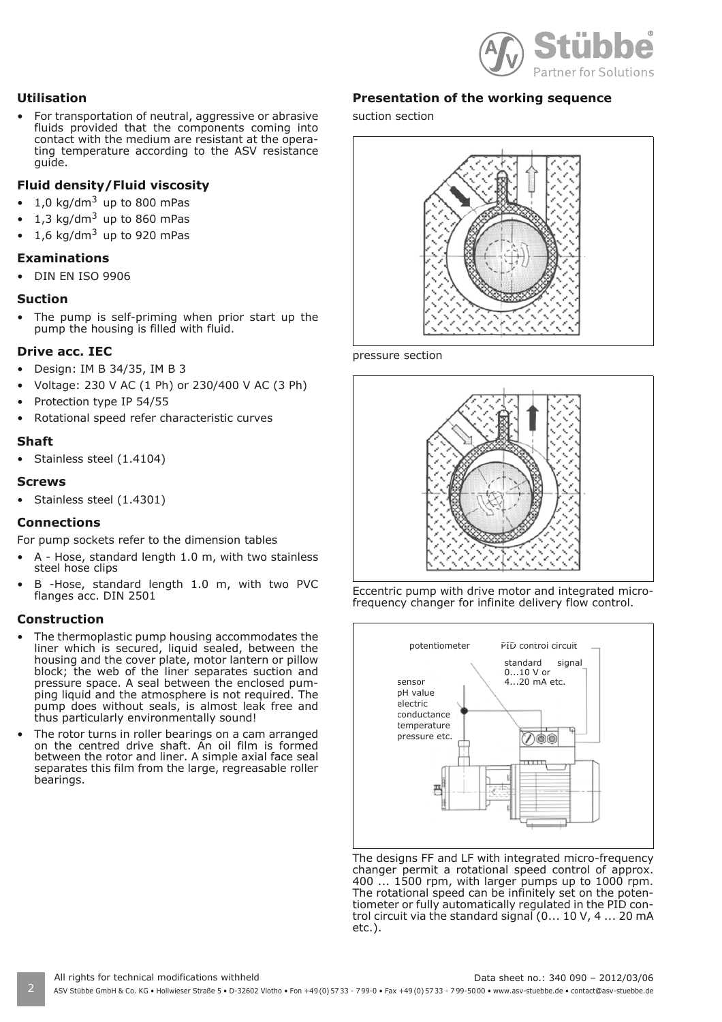

#### **Utilisation**

• For transportation of neutral, aggressive or abrasive fluids provided that the components coming into contact with the medium are resistant at the operating temperature according to the ASV resistance guide.

#### **Fluid density/Fluid viscosity**

- 1,0 kg/dm<sup>3</sup> up to 800 mPas
- 1,3 kg/dm $3$  up to 860 mPas
- 1.6 kg/dm<sup>3</sup> up to 920 mPas

#### **Examinations**

• DIN EN ISO 9906

#### **Suction**

The pump is self-priming when prior start up the pump the housing is filled with fluid.

#### **Drive acc. IEC**

- Design: IM B 34/35, IM B 3
- Voltage: 230 V AC (1 Ph) or 230/400 V AC (3 Ph)
- Protection type IP 54/55
- Rotational speed refer characteristic curves

#### **Shaft**

• Stainless steel (1.4104)

#### **Screws**

• Stainless steel (1.4301)

#### **Connections**

For pump sockets refer to the dimension tables

- A Hose, standard length 1.0 m, with two stainless steel hose clips
- B -Hose, standard length 1.0 m, with two PVC flanges acc. DIN 2501

#### **Construction**

- The thermoplastic pump housing accommodates the liner which is secured, liquid sealed, between the housing and the cover plate, motor lantern or pillow block; the web of the liner separates suction and pressure space. A seal between the enclosed pumping liquid and the atmosphere is not required. The pump does without seals, is almost leak free and thus particularly environmentally sound!
- The rotor turns in roller bearings on a cam arranged on the centred drive shaft. An oil film is formed between the rotor and liner. A simple axial face seal separates this film from the large, regreasable roller bearings.

#### **Presentation of the working sequence**

suction section



pressure section







The designs FF and LF with integrated micro-frequency changer permit a rotational speed control of approx. 400 ... 1500 rpm, with larger pumps up to 1000 rpm. The rotational speed can be infinitely set on the potentiometer or fully automatically regulated in the PID control circuit via the standard signal (0... 10 V, 4 ... 20 mA etc.).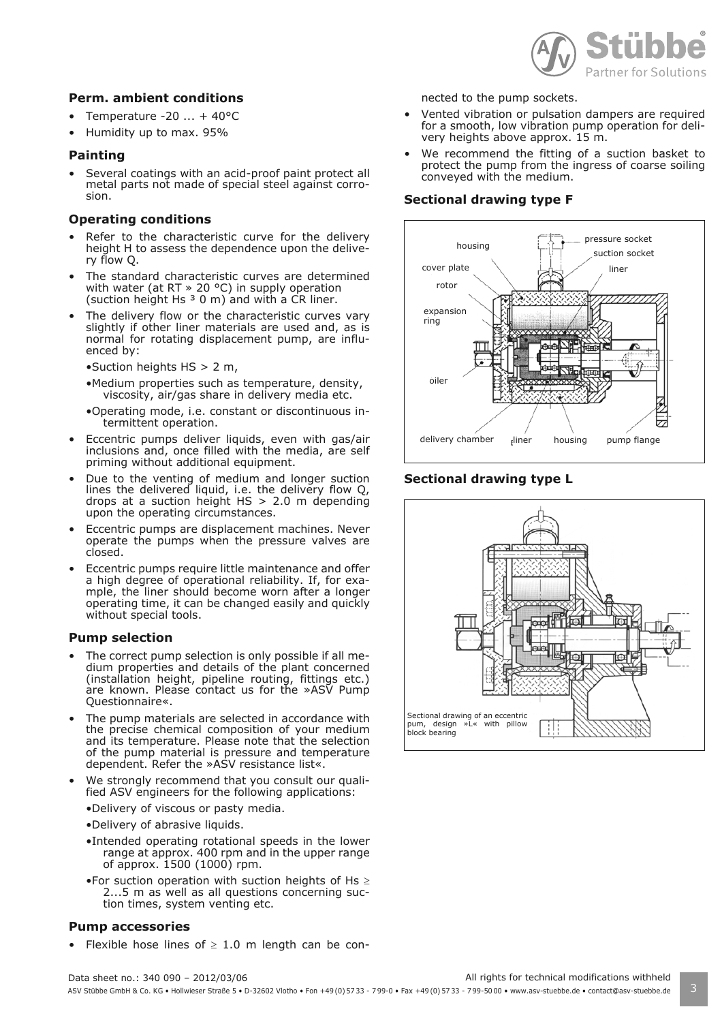

#### **Perm. ambient conditions**

- Temperature  $-20$   $...$  + 40 $^{\circ}$ C
- Humidity up to max. 95%

#### **Painting**

Several coatings with an acid-proof paint protect all metal parts not made of special steel against corrosion.

#### **Operating conditions**

- Refer to the characteristic curve for the delivery height H to assess the dependence upon the delivery flow Q.
- The standard characteristic curves are determined with water (at RT » 20 °C) in supply operation (suction height Hs  $3$  0 m) and with a CR liner.
- The delivery flow or the characteristic curves vary slightly if other liner materials are used and, as is normal for rotating displacement pump, are influenced by:
	- •Suction heights HS > 2 m,
	- •Medium properties such as temperature, density, viscosity, air/gas share in delivery media etc.
	- •Operating mode, i.e. constant or discontinuous intermittent operation.
- Eccentric pumps deliver liquids, even with gas/air inclusions and, once filled with the media, are self priming without additional equipment.
- Due to the venting of medium and longer suction lines the delivered liquid, i.e. the delivery flow Q, drops at a suction height  $HS > 2.0$  m depending upon the operating circumstances.
- Eccentric pumps are displacement machines. Never operate the pumps when the pressure valves are closed.
- Eccentric pumps require little maintenance and offer a high degree of operational reliability. If, for example, the liner should become worn after a longer operating time, it can be changed easily and quickly without special tools.

#### **Pump selection**

- The correct pump selection is only possible if all medium properties and details of the plant concerned (installation height, pipeline routing, fittings etc.) are known. Please contact us for the »ASV Pump Questionnaire«.
- The pump materials are selected in accordance with the precise chemical composition of your medium and its temperature. Please note that the selection of the pump material is pressure and temperature dependent. Refer the »ASV resistance list«.
- We strongly recommend that you consult our qualified ASV engineers for the following applications:
	- •Delivery of viscous or pasty media.
	- •Delivery of abrasive liquids.
	- •Intended operating rotational speeds in the lower range at approx. 400 rpm and in the upper range of approx. 1500 (1000) rpm.
	- •For suction operation with suction heights of Hs  $\geq$ 2...5 m as well as all questions concerning suction times, system venting etc.

#### **Pump accessories**

• Flexible hose lines of  $\geq 1.0$  m length can be con-

nected to the pump sockets.

- Vented vibration or pulsation dampers are required for a smooth, low vibration pump operation for delivery heights above approx. 15 m.
- We recommend the fitting of a suction basket to protect the pump from the ingress of coarse soiling conveyed with the medium.

#### **Sectional drawing type F**



#### **Sectional drawing type L**

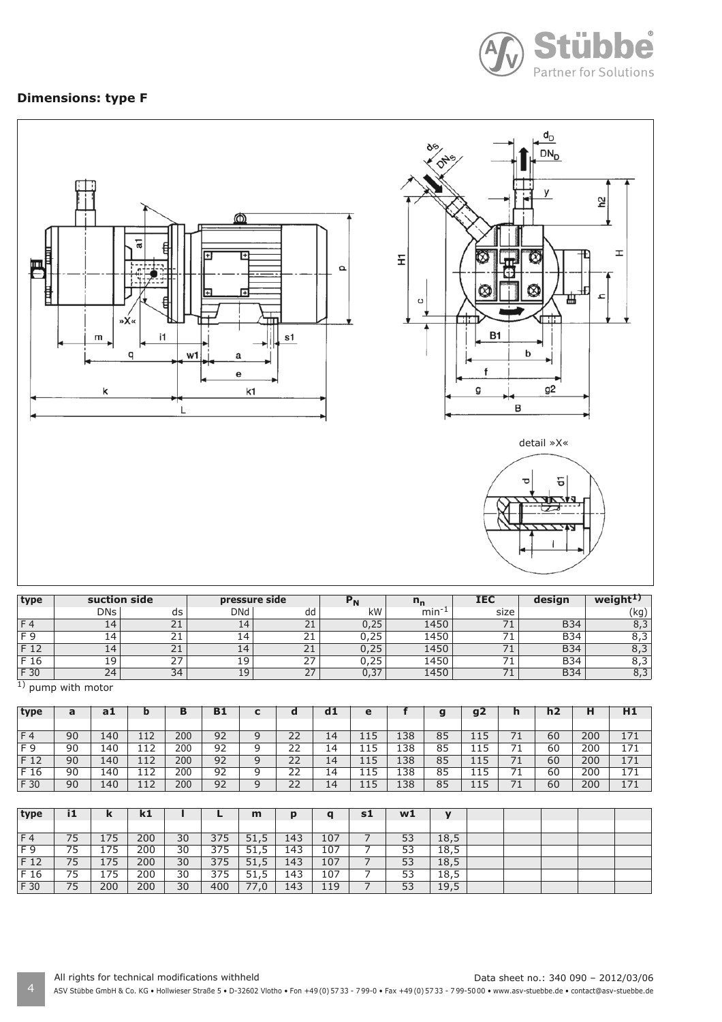

# **Dimensions: type F**



| type           |                 | suction side              |            | pressure side            |      | <u>''n</u> | IEC                      | design     | weigh |
|----------------|-----------------|---------------------------|------------|--------------------------|------|------------|--------------------------|------------|-------|
|                | <b>DNs</b>      | ds                        | <b>DNd</b> | dd                       | kW   | min        | size                     |            | kg.   |
| F <sub>4</sub> | 14              | $\sim$<br>ᅩ               | 14         | 21                       | 0,25 | 1450       | $\overline{\phantom{a}}$ | <b>B34</b> |       |
| $F \Omega$     | $\overline{14}$ | $\sim$<br>∠⊥              | 14         | 21                       | 0,25 | 1450       |                          | <b>B34</b> | د.ه   |
| F 12           | 14              | ∼.<br><u> 4</u>           | 14         | 21                       | 0,25 | 1450       | - -                      | <b>B34</b> |       |
| F 16           | 19              | $\sim$ $\sim$<br><u>.</u> | 19         | $\lnot$<br>$\mathcal{L}$ | 0,25 | 1450       | - -                      | <b>B34</b> | ر , ں |
| F 30           | 24              | 34                        | 19         | 27                       | 0,37 | 1450       | --<br><u>/ T</u>         | <b>B34</b> |       |

<sup>1</sup>) pump with motor

| type | a  | a1  |     | в   | B1 | -<br>J | a            | d1 | e   |     | a<br>ю | g2          | п   | h2 | н   | H1  |
|------|----|-----|-----|-----|----|--------|--------------|----|-----|-----|--------|-------------|-----|----|-----|-----|
|      |    |     |     |     |    |        |              |    |     |     |        |             |     |    |     |     |
| F4   | 90 | 140 | 112 | 200 | 92 | 9      | 22           | 14 | 115 | 138 | 85     | 1 1 E<br>ᆠᆠ |     | 60 | 200 | 171 |
| F 9  | 90 | 140 | 112 | 200 | 92 | a      | วว<br>ے ے    | 14 | 115 | 138 | 85     | 1 1 E<br>ᆠᆠ |     | 60 | 200 | 171 |
| F 12 | 90 | 140 | 112 | 200 | 92 | q      | $\cap$<br>22 | 14 | 115 | 138 | 85     | ᆠᆠ          |     | 60 | 200 | 171 |
| F 16 | 90 | 140 | 112 | 200 | 92 | a      | רר<br>ے      | 14 | 115 | 138 | 85     | 115         |     | 60 | 200 | 171 |
| F 30 | 90 | 140 | 12  | 200 | 92 | a      | 22           | 14 | 115 | 138 | 85     | 11 S        | ¬ ⊣ | 60 | 200 | 171 |

| type | i1 | ĸ   | $\mathbf{k}$ |    |     | m    | p   | $\mathbf{a}$ | s1 | w1 | $\mathbf{v}$ |  |  |  |
|------|----|-----|--------------|----|-----|------|-----|--------------|----|----|--------------|--|--|--|
|      |    |     |              |    |     |      |     |              |    |    |              |  |  |  |
| F4   | 75 | 175 | 200          | 30 | 375 | 51,5 | 143 | 107          |    | 53 | 18,5         |  |  |  |
| F 9  | 75 | 175 | 200          | 30 | 375 | 51,5 | 143 | 107          |    | 53 | 18,5         |  |  |  |
| F 12 | 75 | 175 | 200          | 30 | 375 | 51,5 | 143 | 107          |    | 53 | 18,5         |  |  |  |
| F 16 | 75 | 175 | 200          | 30 | 375 | 51,5 | 143 | 107          |    | 53 | 18,5         |  |  |  |
| F 30 | 75 | 200 | 200          | 30 | 400 | 77,0 | 143 | 119          |    | 53 | 19,5         |  |  |  |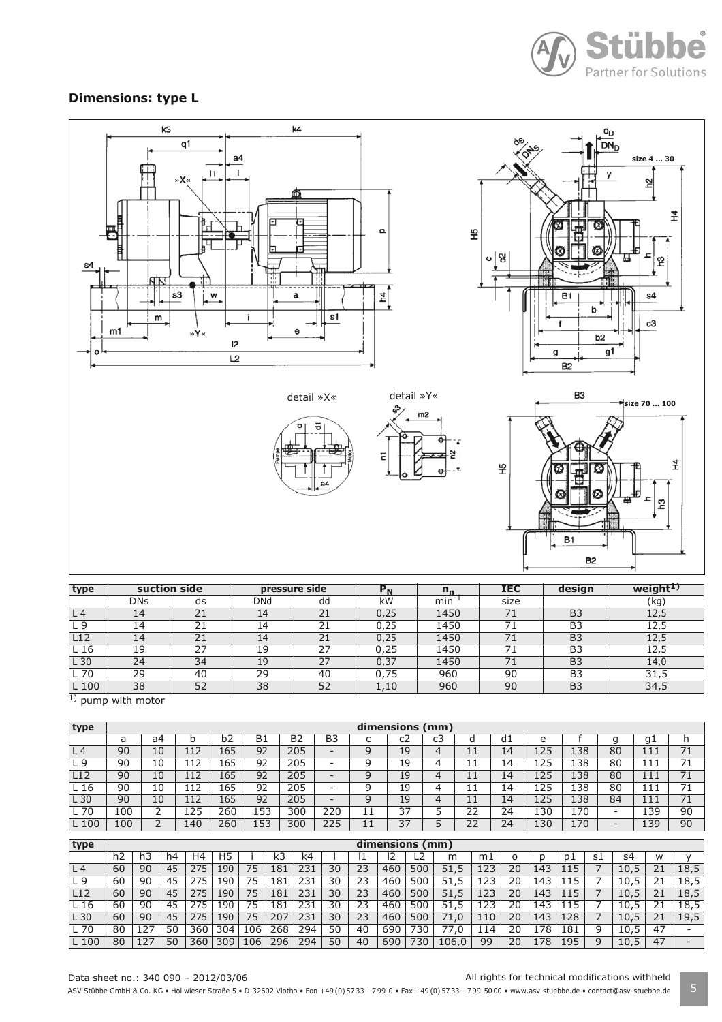

### **Dimensions: type L**



| type              |            | suction side | pressure side |    | $P_{N}$ | $n_{n}$ | <b>IEC</b> | design         | weight <sup>1)</sup> |
|-------------------|------------|--------------|---------------|----|---------|---------|------------|----------------|----------------------|
|                   | <b>DNs</b> | ds           | DNd           | dd | kW      | $min-1$ | size       |                | (kg)                 |
| L 4               | 14         | 21           | 14            | 21 | 0.25    | 1450    | 71         | B <sub>3</sub> | 12,5                 |
| 9 ـ               | 14         | 21           | 14            | 21 | 0,25    | 1450    |            | B <sub>3</sub> | 12,5                 |
| L12               | 14         | 21           | 14            | 21 | 0,25    | 1450    | 71         | B <sub>3</sub> | 12,5                 |
| L <sub>16</sub>   | 19         | 27           | 19            | 27 | 0.25    | 1450    |            | B <sub>3</sub> | 12.5                 |
| $-30$             | 24         | 34           | 19            | 27 | 0,37    | 1450    |            | B <sub>3</sub> | 14,0                 |
| L 70              | 29         | 40           | 29            | 40 | 0.75    | 960     | 90         | B <sub>3</sub> | 31,5                 |
| $\_100$<br>$\sim$ | 38         | 52           | 38            | 52 | 1,10    | 960     | 90         | B <sub>3</sub> | 34,5                 |

 $\overline{1}$ ) pump with motor

| type            | dimensions (mm) |    |     |     |           |                |                |   |    |    |           |    |     |     |                              |     |    |
|-----------------|-----------------|----|-----|-----|-----------|----------------|----------------|---|----|----|-----------|----|-----|-----|------------------------------|-----|----|
|                 | a               | a4 | b   | b2  | <b>B1</b> | B <sub>2</sub> | B <sub>3</sub> | ◡ | C2 | c3 | u         | d1 | e   |     | g                            | g1  | h  |
| L <sub>4</sub>  | 90              | 10 | 112 | 165 | 92        | 205            | -              |   | 19 | 4  | <b>++</b> | 14 | 125 | 138 | 80                           | 111 | 71 |
| L9              | 90              | 10 | 112 | 165 | 92        | 205            | -              |   | 19 | 4  | J.<br>ᆠ   | 14 | 125 | 138 | 80                           | 111 |    |
| L <sub>12</sub> | 90              | 10 | 112 | 165 | 92        | 205            | -              |   | 19 | 4  | 11<br>ᆠ   | 14 | 125 | 138 | 80                           | 111 | 71 |
| 16              | 90              | 10 | 112 | 165 | 92        | 205            | -              |   | 19 | 4  | ᆠ         | 14 | 125 | 138 | 80                           | 111 | 74 |
| L 30            | 90              | 10 | 112 | 165 | 92        | 205            | -              |   | 19 | 4  | 11<br>ᆠ   | 14 | 125 | 138 | 84                           | 111 | 71 |
| 70              | 100             | ←  | 125 | 260 | 153       | 300            | 220            |   | 37 |    | 22        | 24 | 130 | 170 | $\overline{\phantom{0}}$     | 139 | 90 |
| L 100           | 100             | ∠  | 140 | 260 | 153       | 300            | 225            |   | 37 |    | 22        | 24 | 130 | 170 | $\qquad \qquad \blacksquare$ | 139 | 90 |

| type            |    |     |    |     |                |     |     |     |    |    | dimensions (mm) |      |           |     |    |     |     |    |      |    |      |
|-----------------|----|-----|----|-----|----------------|-----|-----|-----|----|----|-----------------|------|-----------|-----|----|-----|-----|----|------|----|------|
|                 |    |     |    |     |                |     |     |     |    |    |                 |      |           |     |    |     |     |    |      |    |      |
|                 | h2 |     | h4 | H4  | H <sub>5</sub> |     | k3  | k4  |    |    | 12              |      | m         | mı  |    |     | p1  | s1 | s4   | W  |      |
| L <sub>4</sub>  | 60 | 90  | 45 | 275 | 190            | 75  | 181 | 231 | 30 | 23 | 460             | 500  | 51<br>5.  | 123 | 20 | 143 | 15  |    | 10.5 | 21 | 18,5 |
| L 9             | 60 | 90  | 45 | 275 | 190            | 75  | 181 | 231 | 30 | 23 | 460             | 500  | 51<br>5.  | 23  | 20 | 143 |     |    | 10.5 | 21 | 18.5 |
| L12             | 60 | 90  | 45 | 275 | 190            | 75  | 181 | 231 | 30 | 23 | 460             | 500  | 51        | 123 | 20 | 143 | 15  |    | 10.5 | 21 | 18.5 |
| L 16            | 60 | 90  | 45 | 275 | 190            | 75  | 181 | 231 | 30 | 23 | 460             | 500  | 51<br>. 5 | 123 | 20 | 143 | 15  |    | 10.5 | 21 | 18,5 |
| L <sub>30</sub> | 60 | 90  | 45 | 275 | 190            | 75  | 207 | 231 | 30 | 23 | 460             | 500  | .0        | 110 | 20 | 143 | 128 |    | 10.5 | 21 | 19,5 |
| L 70            | 80 | 127 | 50 | 360 | 304            | 106 | 268 | 294 | 50 | 40 | 690             | 730  | 0.        | 14  | 20 | 178 | 181 | 9  | 10,5 | 47 |      |
| L 100           | 80 |     | 50 | 360 | 309            | 106 | 296 | 294 | 50 | 40 | 690             | '30' | 106.0     | 99  | 20 | .78 | .95 | q  | 10,5 | 47 | -    |

#### Data sheet no.: 340 090 – 2012/03/06 All rights for technical modifications withheld

ASV Stübbe GmbH & Co. KG • Hollwieser Straße 5 • D-32602 Vlotho • Fon +49(0) 57 33 - 799-0 • Fax +49(0) 57 33 - 799-5000 • www.asv-stuebbe.de • contact@asv-stuebbe.de 5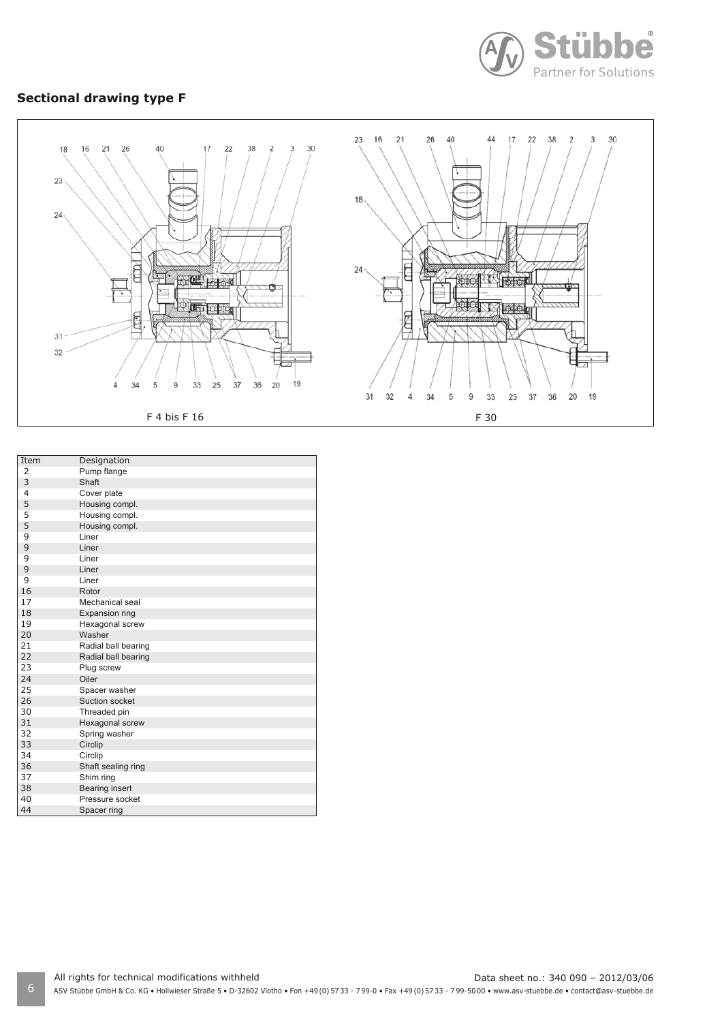

# **Sectional drawing type F**



| Item           | Designation           |
|----------------|-----------------------|
| 2              | Pump flange           |
| 3              | Shaft                 |
| $\overline{4}$ | Cover plate           |
| 5              | Housing compl.        |
| 5              | Housing compl.        |
| 5              | Housing compl.        |
| 9              | Liner                 |
| 9              | Liner                 |
| 9              | Liner                 |
| 9              | Liner                 |
| 9              | Liner                 |
| 16             | Rotor                 |
| 17             | Mechanical seal       |
| 18             | Expansion ring        |
| 19             | Hexagonal screw       |
| 20             | Washer                |
| 21             | Radial ball bearing   |
| 22             | Radial ball bearing   |
| 23             | Plug screw            |
| 24             | Oiler                 |
| 25             | Spacer washer         |
| 26             | Suction socket        |
| 30             | Threaded pin          |
| 31             | Hexagonal screw       |
| 32             | Spring washer         |
| 33             | Circlip               |
| 34             | Circlip               |
| 36             | Shaft sealing ring    |
| 37             | Shim ring             |
| 38             | <b>Bearing insert</b> |
| 40             | Pressure socket       |
| 44             | Spacer ring           |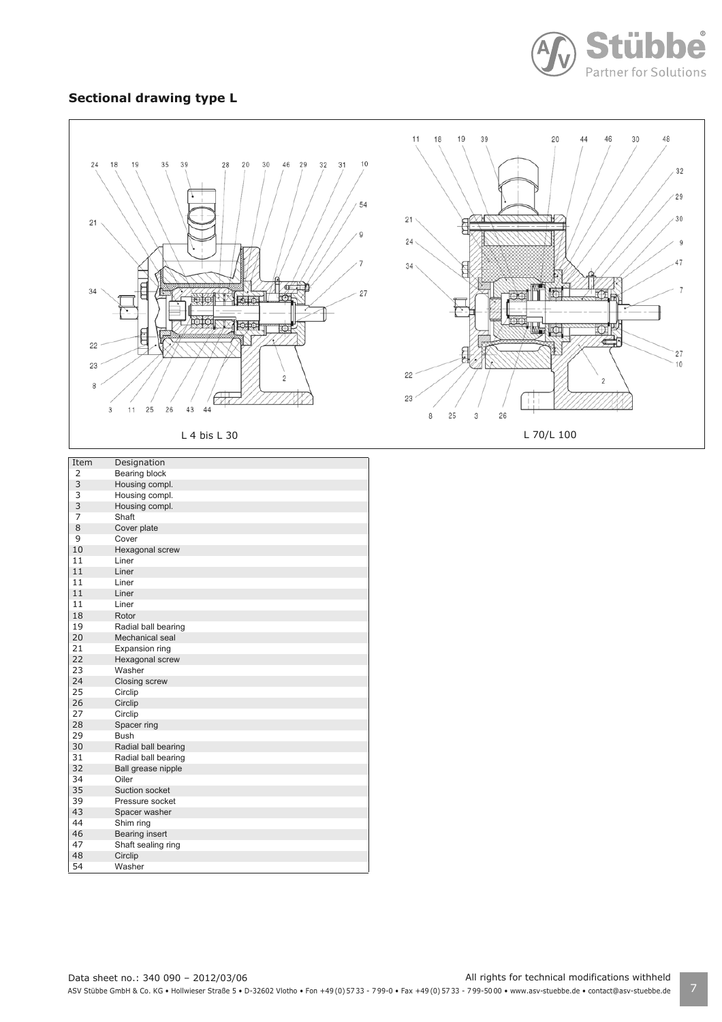

#### **Sectional drawing type L**